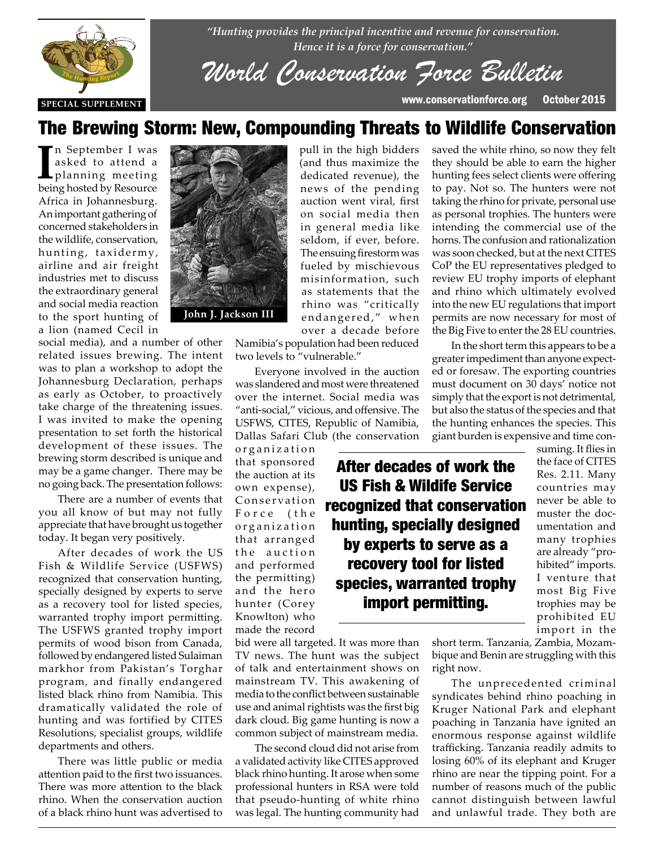

*"Hunting provides the principal incentive and revenue for conservation. Hence it is a force for conservation."*

*World Conservation Force Bulletin*

pull in the high bidders (and thus maximize the dedicated revenue), the news of the pending auction went viral, first on social media then in general media like seldom, if ever, before. The ensuing firestorm was fueled by mischievous misinformation, such as statements that the rhino was "critically endangered," when over a decade before

## The Brewing Storm: New, Compounding Threats to Wildlife Conservation

I<sup>I</sup> n September I was<br>asked to attend a<br>planning meeting<br>heing hosted by Resource asked to attend a planning meeting being hosted by Resource Africa in Johannesburg. An important gathering of concerned stakeholders in the wildlife, conservation, hunting, taxidermy, airline and air freight industries met to discuss the extraordinary general and social media reaction to the sport hunting of a lion (named Cecil in

social media), and a number of other social media), and a number of other<br>related issues brewing. The intent was to plan a workshop to adopt the Johannesburg Declaration, perhaps as early as October, to proactively as early as October, to proactively<br>take charge of the threatening issues. I was invited to make the opening presentation to set forth the historical development of these issues. The brewing storm described is unique and may be a game changer. There may be no going back. The presentation follows:

> There are a number of events that you all know of but may not fully appreciate that have brought us together today. It began very positively.

> After decades of work the US Fish & Wildlife Service (USFWS) recognized that conservation hunting, specially designed by experts to serve as a recovery tool for listed species, warranted trophy import permitting. The USFWS granted trophy import permits of wood bison from Canada, followed by endangered listed Sulaiman markhor from Pakistan's Torghar program, and finally endangered listed black rhino from Namibia. This dramatically validated the role of hunting and was fortified by CITES Resolutions, specialist groups, wildlife departments and others.

There was little public or media attention paid to the first two issuances. There was more attention to the black rhino. When the conservation auction of a black rhino hunt was advertised to



Namibia's population had been reduced two levels to "vulnerable."

Everyone involved in the auction was slandered and most were threatened over the internet. Social media was "anti-social," vicious, and offensive. The USFWS, CITES, Republic of Namibia, Dallas Safari Club (the conservation

organization that sponsored the auction at its own expense), Conservation Force (the o r g a n i z a t i o n that arranged the auction and performed the permitting) and the hero hunter (Corey Knowlton) who made the record

bid were all targeted. It was more than TV news. The hunt was the subject of talk and entertainment shows on mainstream TV. This awakening of media to the conflict between sustainable use and animal rightists was the first big dark cloud. Big game hunting is now a common subject of mainstream media.

The second cloud did not arise from a validated activity like CITES approved black rhino hunting. It arose when some professional hunters in RSA were told that pseudo-hunting of white rhino was legal. The hunting community had

saved the white rhino, so now they felt they should be able to earn the higher hunting fees select clients were offering to pay. Not so. The hunters were not taking the rhino for private, personal use as personal trophies. The hunters were intending the commercial use of the horns. The confusion and rationalization was soon checked, but at the next CITES CoP the EU representatives pledged to review EU trophy imports of elephant and rhino which ultimately evolved into the new EU regulations that import permits are now necessary for most of the Big Five to enter the 28 EU countries.

In the short term this appears to be a greater impediment than anyone expected or foresaw. The exporting countries must document on 30 days' notice not simply that the export is not detrimental, but also the status of the species and that the hunting enhances the species. This giant burden is expensive and time con-

After decades of work the US Fish & Wildife Service recognized that conservation hunting, specially designed by experts to serve as a recovery tool for listed species, warranted trophy import permitting.

suming. It flies in the face of CITES Res. 2.11. Many countries may never be able to muster the documentation and many trophies are already "prohibited" imports. I venture that most Big Five trophies may be prohibited EU import in the

short term. Tanzania, Zambia, Mozambique and Benin are struggling with this right now.

The unprecedented criminal syndicates behind rhino poaching in Kruger National Park and elephant poaching in Tanzania have ignited an enormous response against wildlife trafficking. Tanzania readily admits to losing 60% of its elephant and Kruger rhino are near the tipping point. For a number of reasons much of the public cannot distinguish between lawful and unlawful trade. They both are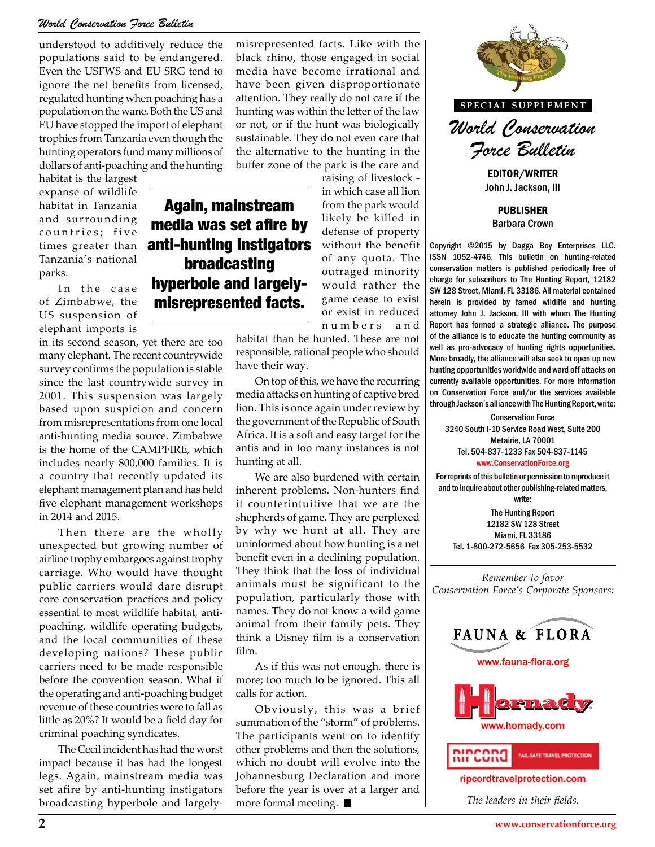#### *World Conservation Force Bulletin*

understood to additively reduce the populations said to be endangered. Even the USFWS and EU SRG tend to ignore the net benefits from licensed, regulated hunting when poaching has a population on the wane. Both the US and EU have stopped the import of elephant trophies from Tanzania even though the hunting operators fund many millions of dollars of anti-poaching and the hunting

Again, mainstream

broadcasting

misrepresented facts.

habitat is the largest expanse of wildlife habitat in Tanzania and surrounding countries; five times greater than Tanzania's national parks.

In the case of Zimbabwe, the US suspension of elephant imports is

in its second season, yet there are too many elephant. The recent countrywide survey confirms the population is stable since the last countrywide survey in 2001. This suspension was largely based upon suspicion and concern from misrepresentations from one local anti-hunting media source. Zimbabwe is the home of the CAMPFIRE, which includes nearly 800,000 families. It is a country that recently updated its elephant management plan and has held five elephant management workshops in 2014 and 2015.

Then there are the wholly unexpected but growing number of airline trophy embargoes against trophy carriage. Who would have thought public carriers would dare disrupt core conservation practices and policy essential to most wildlife habitat, antipoaching, wildlife operating budgets, and the local communities of these developing nations? These public carriers need to be made responsible before the convention season. What if the operating and anti-poaching budget revenue of these countries were to fall as little as 20%? It would be a field day for criminal poaching syndicates.

The Cecil incident has had the worst impact because it has had the longest legs. Again, mainstream media was set afire by anti-hunting instigators broadcasting hyperbole and largelymisrepresented facts. Like with the black rhino, those engaged in social media have become irrational and have been given disproportionate attention. They really do not care if the hunting was within the letter of the law or not, or if the hunt was biologically sustainable. They do not even care that the alternative to the hunting in the buffer zone of the park is the care and

raising of livestock in which case all lion from the park would likely be killed in defense of property without the benefit of any quota. The outraged minority would rather the game cease to exist or exist in reduced n u m b e r s a n d media was set afire by anti-hunting instigators hyperbole and largely-

> habitat than be hunted. These are not responsible, rational people who should have their way.

On top of this, we have the recurring media attacks on hunting of captive bred lion. This is once again under review by the government of the Republic of South Africa. It is a soft and easy target for the antis and in too many instances is not hunting at all.

We are also burdened with certain inherent problems. Non-hunters find it counterintuitive that we are the shepherds of game. They are perplexed by why we hunt at all. They are uninformed about how hunting is a net benefit even in a declining population. They think that the loss of individual animals must be significant to the population, particularly those with names. They do not know a wild game animal from their family pets. They think a Disney film is a conservation film.

As if this was not enough, there is more; too much to be ignored. This all calls for action.

Obviously, this was a brief summation of the "storm" of problems. The participants went on to identify other problems and then the solutions, which no doubt will evolve into the Johannesburg Declaration and more before the year is over at a larger and more formal meeting.



**SPECIAL SUPPLEMENT**

*World Conservation Force Bulletin*

EDITOR/WRITER John J. Jackson, III

PUBLISHER Barbara Crown

Copyright ©2015 by Dagga Boy Enterprises LLC. ISSN 1052-4746. This bulletin on hunting-related conservation matters is published periodically free of charge for subscribers to The Hunting Report, 12182 SW 128 Street, Miami, FL 33186. All material contained herein is provided by famed wildlife and hunting attorney John J. Jackson, III with whom The Hunting Report has formed a strategic alliance. The purpose of the alliance is to educate the hunting community as These are not <sup>of the alliance is to educate the hunting community as<br>e who should **the alliance of the discussion of hunting rights opportunities.**</sup> More broadly, the alliance will also seek to open up new hunting opportunities worldwide and ward off attacks on currently available opportunities. For more information Interfect of the Hunting contently available upportunities. For those information<br> **The Example 1996** on Conservation Force and/or the services available<br> **The Hunting Penort write:** through Jackson's alliance with The Hunting Report, write:

> Conservation Force 3240 South I-10 Service Road West, Suite 200 Metairie, LA 70001 Tel. 504-837-1233 Fax 504-837-1145 www.ConservationForce.org

For reprints of this bulletin or permission to reproduce it and to inquire about other publishing-related matters, write:

The Hunting Report 12182 SW 128 Street Miami, FL 33186 Tel. 1-800-272-5656 Fax 305-253-5532

*Remember to favor Conservation Force's Corporate Sponsors:*







ripcordtravelprotection.com

*The leaders in their fields.*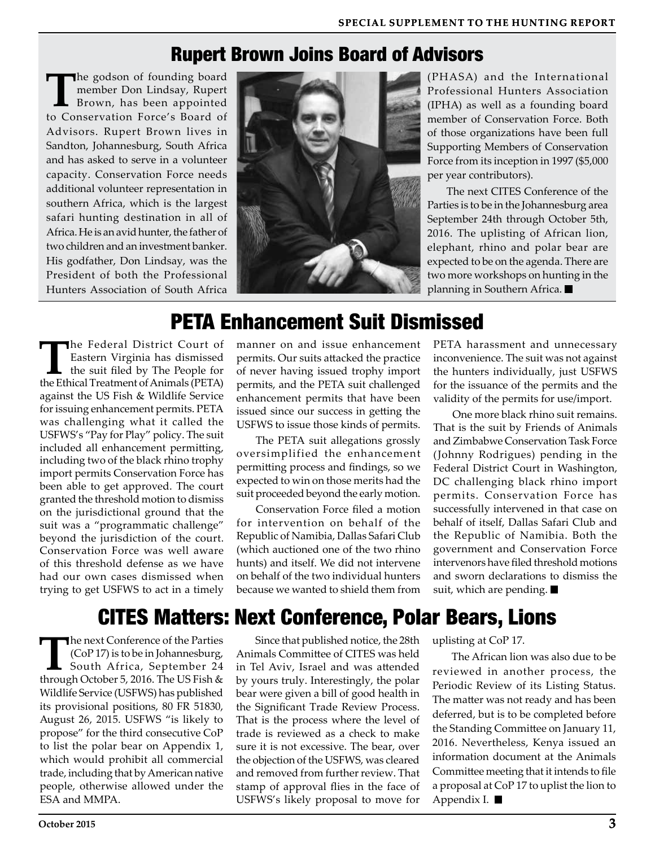### Rupert Brown Joins Board of Advisors

**T**he godson of founding board member Don Lindsay, Rupert Brown, has been appointed to Conservation Force's Board of Advisors. Rupert Brown lives in Sandton, Johannesburg, South Africa and has asked to serve in a volunteer capacity. Conservation Force needs additional volunteer representation in southern Africa, which is the largest safari hunting destination in all of Africa. He is an avid hunter, the father of two children and an investment banker. His godfather, Don Lindsay, was the President of both the Professional Hunters Association of South Africa



(PHASA) and the International Professional Hunters Association (IPHA) as well as a founding board member of Conservation Force. Both of those organizations have been full Supporting Members of Conservation Force from its inception in 1997 (\$5,000 per year contributors).

The next CITES Conference of the Parties is to be in the Johannesburg area September 24th through October 5th, 2016. The uplisting of African lion, elephant, rhino and polar bear are expected to be on the agenda. There are two more workshops on hunting in the planning in Southern Africa.

## PETA Enhancement Suit Dismissed

**The Federal District Court of Eastern Virginia has dismissed the suit filed by The People for the Ethical Treatment of Animals (PETA)** Eastern Virginia has dismissed the Ethical Treatment of Animals (PETA) against the US Fish & Wildlife Service for issuing enhancement permits. PETA was challenging what it called the USFWS's "Pay for Play" policy. The suit included all enhancement permitting, including two of the black rhino trophy import permits Conservation Force has been able to get approved. The court granted the threshold motion to dismiss on the jurisdictional ground that the suit was a "programmatic challenge" beyond the jurisdiction of the court. Conservation Force was well aware of this threshold defense as we have had our own cases dismissed when trying to get USFWS to act in a timely

manner on and issue enhancement permits. Our suits attacked the practice of never having issued trophy import permits, and the PETA suit challenged enhancement permits that have been issued since our success in getting the USFWS to issue those kinds of permits.

The PETA suit allegations grossly oversimplified the enhancement permitting process and findings, so we expected to win on those merits had the suit proceeded beyond the early motion.

Conservation Force filed a motion for intervention on behalf of the Republic of Namibia, Dallas Safari Club (which auctioned one of the two rhino hunts) and itself. We did not intervene on behalf of the two individual hunters because we wanted to shield them from

PETA harassment and unnecessary inconvenience. The suit was not against the hunters individually, just USFWS for the issuance of the permits and the validity of the permits for use/import.

One more black rhino suit remains. That is the suit by Friends of Animals and Zimbabwe Conservation Task Force (Johnny Rodrigues) pending in the Federal District Court in Washington, DC challenging black rhino import permits. Conservation Force has successfully intervened in that case on behalf of itself, Dallas Safari Club and the Republic of Namibia. Both the government and Conservation Force intervenors have filed threshold motions and sworn declarations to dismiss the suit, which are pending.

# CITES Matters: Next Conference, Polar Bears, Lions

The next Conference of the Parties<br>
(CoP 17) is to be in Johannesburg,<br>
South Africa, September 24<br>
through October 5, 2016, The US Fish & (CoP 17) is to be in Johannesburg, through October 5, 2016. The US Fish & Wildlife Service (USFWS) has published its provisional positions, 80 FR 51830, August 26, 2015. USFWS "is likely to propose" for the third consecutive CoP to list the polar bear on Appendix 1, which would prohibit all commercial trade, including that by American native people, otherwise allowed under the ESA and MMPA.

Since that published notice, the 28th Animals Committee of CITES was held in Tel Aviv, Israel and was attended by yours truly. Interestingly, the polar bear were given a bill of good health in the Significant Trade Review Process. That is the process where the level of trade is reviewed as a check to make sure it is not excessive. The bear, over the objection of the USFWS, was cleared and removed from further review. That stamp of approval flies in the face of USFWS's likely proposal to move for

uplisting at CoP 17.

The African lion was also due to be reviewed in another process, the Periodic Review of its Listing Status. The matter was not ready and has been deferred, but is to be completed before the Standing Committee on January 11, 2016. Nevertheless, Kenya issued an information document at the Animals Committee meeting that it intends to file a proposal at CoP 17 to uplist the lion to Appendix I.